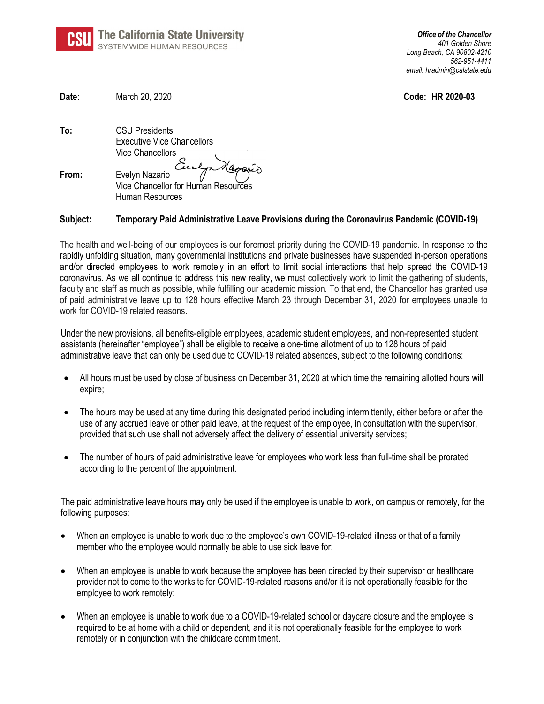

| Date:    | March 20, 2020                                                                                                    | Code: HR 2020-03 |
|----------|-------------------------------------------------------------------------------------------------------------------|------------------|
| To:      | <b>CSU Presidents</b><br><b>Executive Vice Chancellors</b><br>Vice Chancellors                                    |                  |
| From:    | Evelyn Nazario<br>Vice Chancellor for Human Resources<br>Human Resources                                          |                  |
| Subject: | Temporary Paid Administrative Leave Provisions during the Coronavirus Pandemic (COVID-19)                         |                  |
|          | The bealth and well holme of any complexes is any forement indeally diving the OOUD 10 nondered a beneaver to the |                  |

The health and well-being of our employees is our foremost priority during the COVID-19 pandemic. In response to the rapidly unfolding situation, many governmental institutions and private businesses have suspended in-person operations and/or directed employees to work remotely in an effort to limit social interactions that help spread the COVID-19 coronavirus. As we all continue to address this new reality, we must collectively work to limit the gathering of students, faculty and staff as much as possible, while fulfilling our academic mission. To that end, the Chancellor has granted use of paid administrative leave up to 128 hours effective March 23 through December 31, 2020 for employees unable to work for COVID-19 related reasons.

Under the new provisions, all benefits-eligible employees, academic student employees, and non-represented student assistants (hereinafter "employee") shall be eligible to receive a one-time allotment of up to 128 hours of paid administrative leave that can only be used due to COVID-19 related absences, subject to the following conditions:

- All hours must be used by close of business on December 31, 2020 at which time the remaining allotted hours will expire;
- The hours may be used at any time during this designated period including intermittently, either before or after the use of any accrued leave or other paid leave, at the request of the employee, in consultation with the supervisor, provided that such use shall not adversely affect the delivery of essential university services;
- The number of hours of paid administrative leave for employees who work less than full-time shall be prorated according to the percent of the appointment.

The paid administrative leave hours may only be used if the employee is unable to work, on campus or remotely, for the following purposes:

- When an employee is unable to work due to the employee's own COVID-19-related illness or that of a family member who the employee would normally be able to use sick leave for;
- When an employee is unable to work because the employee has been directed by their supervisor or healthcare provider not to come to the worksite for COVID-19-related reasons and/or it is not operationally feasible for the employee to work remotely;
- When an employee is unable to work due to a COVID-19-related school or daycare closure and the employee is required to be at home with a child or dependent, and it is not operationally feasible for the employee to work remotely or in conjunction with the childcare commitment.